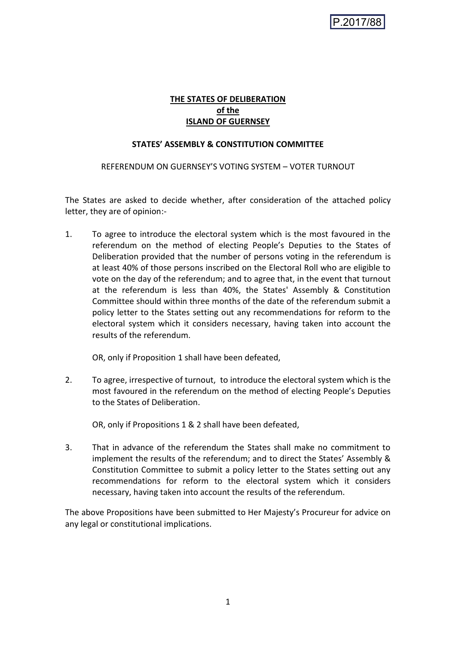# **THE STATES OF DELIBERATION of the ISLAND OF GUERNSEY**

### **STATES' ASSEMBLY & CONSTITUTION COMMITTEE**

REFERENDUM ON GUERNSEY'S VOTING SYSTEM – VOTER TURNOUT

The States are asked to decide whether, after consideration of the attached policy letter, they are of opinion:-

1. To agree to introduce the electoral system which is the most favoured in the referendum on the method of electing People's Deputies to the States of Deliberation provided that the number of persons voting in the referendum is at least 40% of those persons inscribed on the Electoral Roll who are eligible to vote on the day of the referendum; and to agree that, in the event that turnout at the referendum is less than 40%, the States' Assembly & Constitution Committee should within three months of the date of the referendum submit a policy letter to the States setting out any recommendations for reform to the electoral system which it considers necessary, having taken into account the results of the referendum.

OR, only if Proposition 1 shall have been defeated,

2. To agree, irrespective of turnout, to introduce the electoral system which is the most favoured in the referendum on the method of electing People's Deputies to the States of Deliberation.

OR, only if Propositions 1 & 2 shall have been defeated,

3. That in advance of the referendum the States shall make no commitment to implement the results of the referendum; and to direct the States' Assembly & Constitution Committee to submit a policy letter to the States setting out any recommendations for reform to the electoral system which it considers necessary, having taken into account the results of the referendum.

The above Propositions have been submitted to Her Majesty's Procureur for advice on any legal or constitutional implications.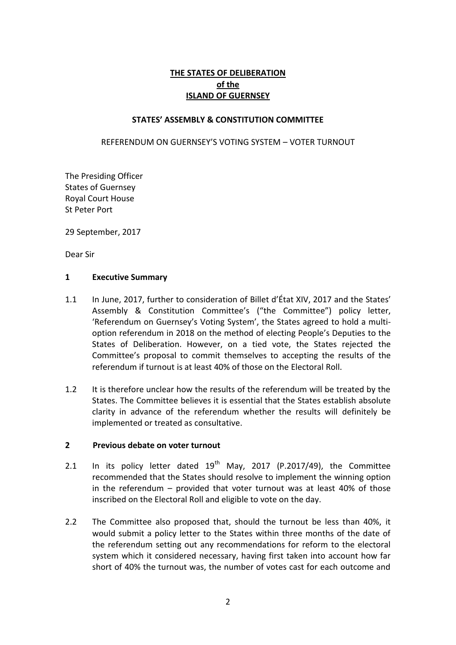# **THE STATES OF DELIBERATION of the ISLAND OF GUERNSEY**

### **STATES' ASSEMBLY & CONSTITUTION COMMITTEE**

### REFERENDUM ON GUERNSEY'S VOTING SYSTEM – VOTER TURNOUT

The Presiding Officer States of Guernsey Royal Court House St Peter Port

29 September, 2017

Dear Sir

### **1 Executive Summary**

- 1.1 In June, 2017, further to consideration of Billet d'État XIV, 2017 and the States' Assembly & Constitution Committee's ("the Committee") policy letter, 'Referendum on Guernsey's Voting System', the States agreed to hold a multioption referendum in 2018 on the method of electing People's Deputies to the States of Deliberation. However, on a tied vote, the States rejected the Committee's proposal to commit themselves to accepting the results of the referendum if turnout is at least 40% of those on the Electoral Roll.
- 1.2 It is therefore unclear how the results of the referendum will be treated by the States. The Committee believes it is essential that the States establish absolute clarity in advance of the referendum whether the results will definitely be implemented or treated as consultative.

#### **2 Previous debate on voter turnout**

- 2.1 In its policy letter dated  $19<sup>th</sup>$  May, 2017 (P.2017/49), the Committee recommended that the States should resolve to implement the winning option in the referendum – provided that voter turnout was at least 40% of those inscribed on the Electoral Roll and eligible to vote on the day.
- 2.2 The Committee also proposed that, should the turnout be less than 40%, it would submit a policy letter to the States within three months of the date of the referendum setting out any recommendations for reform to the electoral system which it considered necessary, having first taken into account how far short of 40% the turnout was, the number of votes cast for each outcome and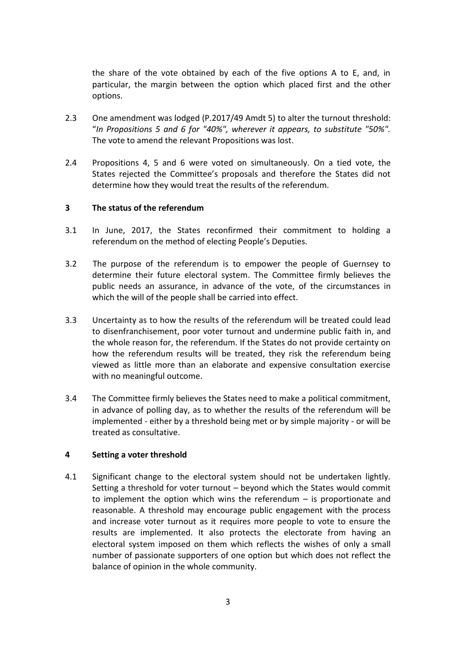the share of the vote obtained by each of the five options A to E, and, in particular, the margin between the option which placed first and the other options.

- 2.3 One amendment was lodged (P.2017/49 Amdt 5) to alter the turnout threshold: "*In Propositions 5 and 6 for "40%", wherever it appears, to substitute "50%".* The vote to amend the relevant Propositions was lost.
- 2.4 Propositions 4, 5 and 6 were voted on simultaneously. On a tied vote, the States rejected the Committee's proposals and therefore the States did not determine how they would treat the results of the referendum.

# **3 The status of the referendum**

- 3.1 In June, 2017, the States reconfirmed their commitment to holding a referendum on the method of electing People's Deputies.
- 3.2 The purpose of the referendum is to empower the people of Guernsey to determine their future electoral system. The Committee firmly believes the public needs an assurance, in advance of the vote, of the circumstances in which the will of the people shall be carried into effect.
- 3.3 Uncertainty as to how the results of the referendum will be treated could lead to disenfranchisement, poor voter turnout and undermine public faith in, and the whole reason for, the referendum. If the States do not provide certainty on how the referendum results will be treated, they risk the referendum being viewed as little more than an elaborate and expensive consultation exercise with no meaningful outcome.
- 3.4 The Committee firmly believes the States need to make a political commitment, in advance of polling day, as to whether the results of the referendum will be implemented - either by a threshold being met or by simple majority - or will be treated as consultative.

### **4 Setting a voter threshold**

4.1 Significant change to the electoral system should not be undertaken lightly. Setting a threshold for voter turnout – beyond which the States would commit to implement the option which wins the referendum – is proportionate and reasonable. A threshold may encourage public engagement with the process and increase voter turnout as it requires more people to vote to ensure the results are implemented. It also protects the electorate from having an electoral system imposed on them which reflects the wishes of only a small number of passionate supporters of one option but which does not reflect the balance of opinion in the whole community.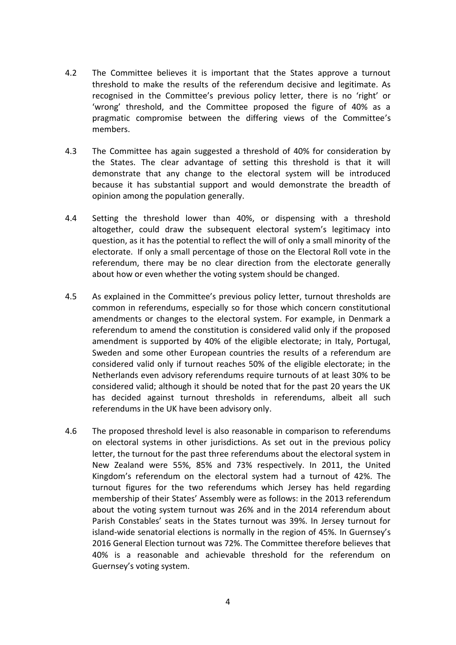- 4.2 The Committee believes it is important that the States approve a turnout threshold to make the results of the referendum decisive and legitimate. As recognised in the Committee's previous policy letter, there is no 'right' or 'wrong' threshold, and the Committee proposed the figure of 40% as a pragmatic compromise between the differing views of the Committee's members.
- 4.3 The Committee has again suggested a threshold of 40% for consideration by the States. The clear advantage of setting this threshold is that it will demonstrate that any change to the electoral system will be introduced because it has substantial support and would demonstrate the breadth of opinion among the population generally.
- 4.4 Setting the threshold lower than 40%, or dispensing with a threshold altogether, could draw the subsequent electoral system's legitimacy into question, as it has the potential to reflect the will of only a small minority of the electorate. If only a small percentage of those on the Electoral Roll vote in the referendum, there may be no clear direction from the electorate generally about how or even whether the voting system should be changed.
- 4.5 As explained in the Committee's previous policy letter, turnout thresholds are common in referendums, especially so for those which concern constitutional amendments or changes to the electoral system. For example, in Denmark a referendum to amend the constitution is considered valid only if the proposed amendment is supported by 40% of the eligible electorate; in Italy, Portugal, Sweden and some other European countries the results of a referendum are considered valid only if turnout reaches 50% of the eligible electorate; in the Netherlands even advisory referendums require turnouts of at least 30% to be considered valid; although it should be noted that for the past 20 years the UK has decided against turnout thresholds in referendums, albeit all such referendums in the UK have been advisory only.
- 4.6 The proposed threshold level is also reasonable in comparison to referendums on electoral systems in other jurisdictions. As set out in the previous policy letter, the turnout for the past three referendums about the electoral system in New Zealand were 55%, 85% and 73% respectively. In 2011, the United Kingdom's referendum on the electoral system had a turnout of 42%. The turnout figures for the two referendums which Jersey has held regarding membership of their States' Assembly were as follows: in the 2013 referendum about the voting system turnout was 26% and in the 2014 referendum about Parish Constables' seats in the States turnout was 39%. In Jersey turnout for island-wide senatorial elections is normally in the region of 45%. In Guernsey's 2016 General Election turnout was 72%. The Committee therefore believes that 40% is a reasonable and achievable threshold for the referendum on Guernsey's voting system.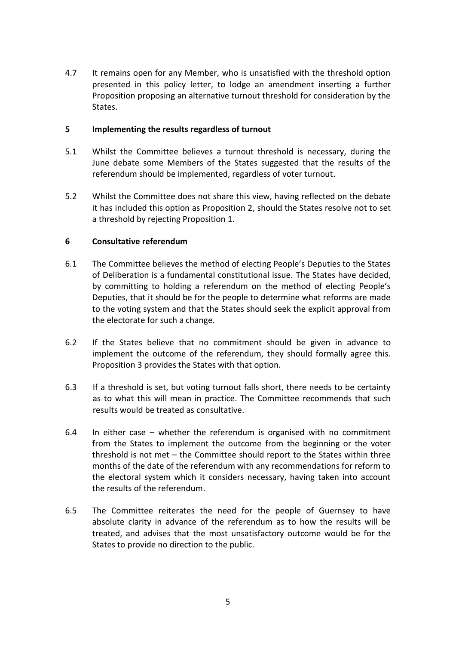4.7 It remains open for any Member, who is unsatisfied with the threshold option presented in this policy letter, to lodge an amendment inserting a further Proposition proposing an alternative turnout threshold for consideration by the States.

# **5 Implementing the results regardless of turnout**

- 5.1 Whilst the Committee believes a turnout threshold is necessary, during the June debate some Members of the States suggested that the results of the referendum should be implemented, regardless of voter turnout.
- 5.2 Whilst the Committee does not share this view, having reflected on the debate it has included this option as Proposition 2, should the States resolve not to set a threshold by rejecting Proposition 1.

# **6 Consultative referendum**

- 6.1 The Committee believes the method of electing People's Deputies to the States of Deliberation is a fundamental constitutional issue. The States have decided, by committing to holding a referendum on the method of electing People's Deputies, that it should be for the people to determine what reforms are made to the voting system and that the States should seek the explicit approval from the electorate for such a change.
- 6.2 If the States believe that no commitment should be given in advance to implement the outcome of the referendum, they should formally agree this. Proposition 3 provides the States with that option.
- 6.3 If a threshold is set, but voting turnout falls short, there needs to be certainty as to what this will mean in practice. The Committee recommends that such results would be treated as consultative.
- 6.4 In either case whether the referendum is organised with no commitment from the States to implement the outcome from the beginning or the voter threshold is not met – the Committee should report to the States within three months of the date of the referendum with any recommendations for reform to the electoral system which it considers necessary, having taken into account the results of the referendum.
- 6.5 The Committee reiterates the need for the people of Guernsey to have absolute clarity in advance of the referendum as to how the results will be treated, and advises that the most unsatisfactory outcome would be for the States to provide no direction to the public.